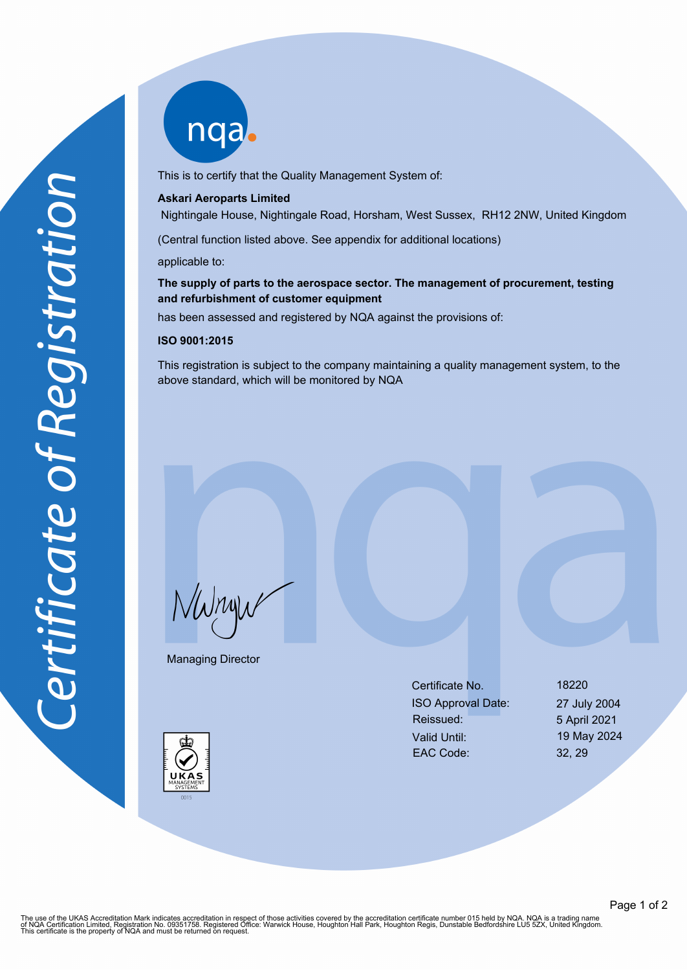nqab

This is to certify that the Quality Management System of:

#### **Askari Aeroparts Limited**

Nightingale House, Nightingale Road, Horsham, West Sussex, RH12 2NW, United Kingdom

(Central function listed above. See appendix for additional locations)

applicable to:

# **The supply of parts to the aerospace sector. The management of procurement, testing and refurbishment of customer equipment**

has been assessed and registered by NQA against the provisions of:

### **ISO 9001:2015**

This registration is subject to the company maintaining a quality management system, to the above standard, which will be monitored by NQA

NWnyw

Managing Director

Certificate No. 18220 ISO Approval Date: 27 July 2004 Reissued: 5 April 2021 Valid Until: 19 May 2024 EAC Code: 32, 29